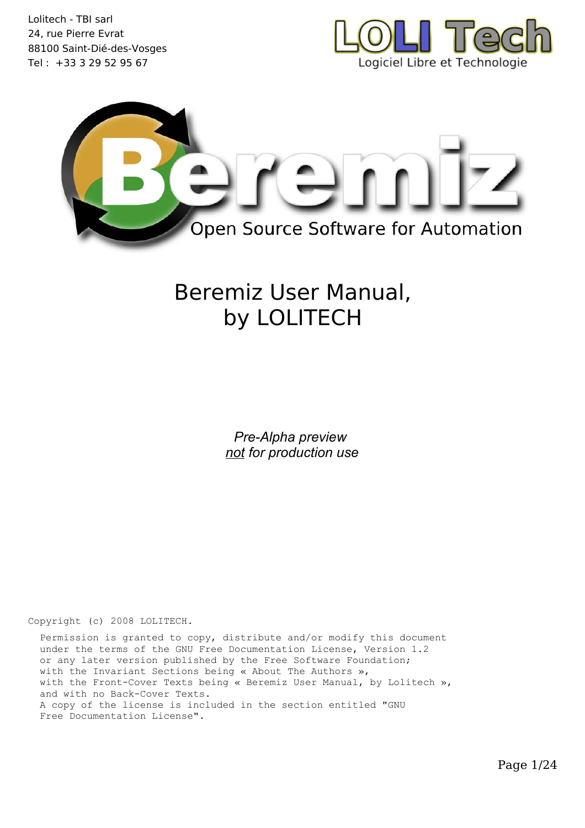



# Beremiz User Manual, by LOLITECH

*Pre-Alpha preview not for production use*

Copyright (c) 2008 LOLITECH.

 Permission is granted to copy, distribute and/or modify this document under the terms of the GNU Free Documentation License, Version 1.2 or any later version published by the Free Software Foundation; with the Invariant Sections being « About The Authors », with the Front-Cover Texts being « Beremiz User Manual, by Lolitech », and with no Back-Cover Texts. A copy of the license is included in the section entitled "GNU Free Documentation License".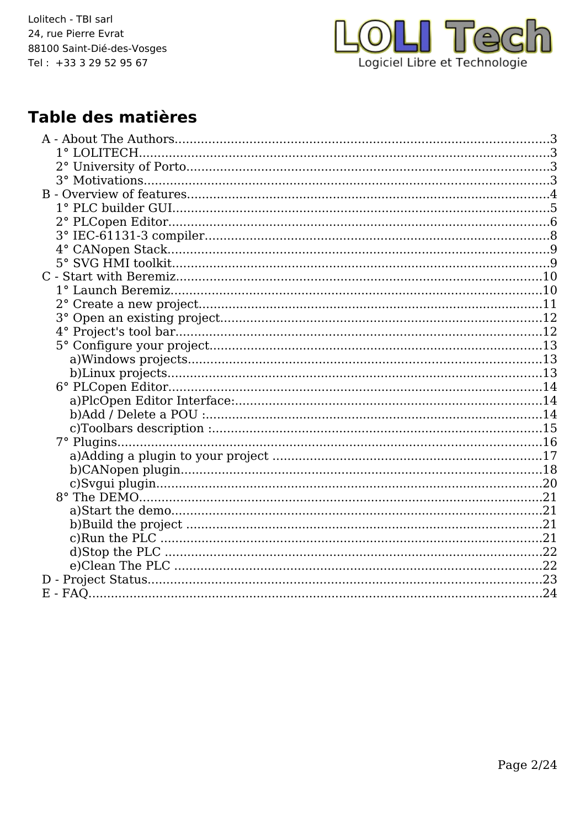

## Table des matières

| 7° Plugins |  |
|------------|--|
|            |  |
|            |  |
|            |  |
|            |  |
|            |  |
|            |  |
|            |  |
|            |  |
|            |  |
|            |  |
|            |  |
|            |  |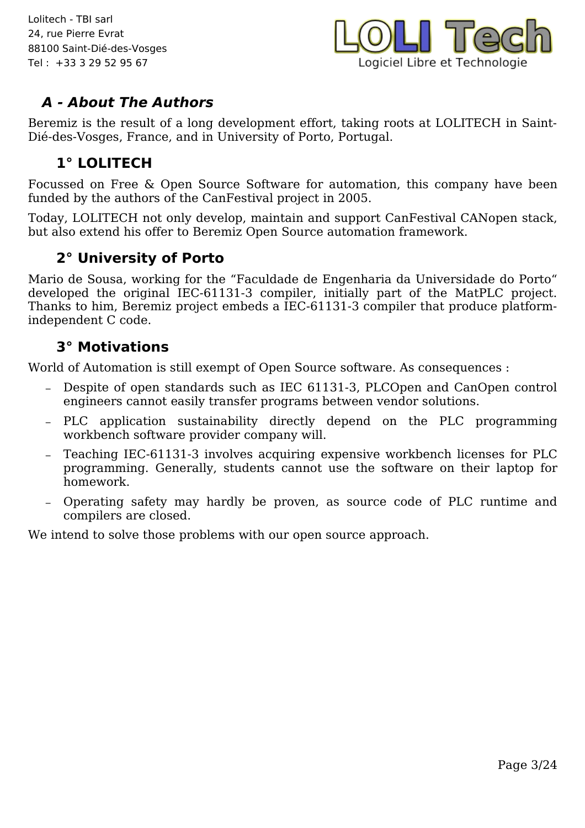

### **A - About The Authors**

Beremiz is the result of a long development effort, taking roots at LOLITECH in Saint-Dié-des-Vosges, France, and in University of Porto, Portugal.

### **1° LOLITECH**

Focussed on Free & Open Source Software for automation, this company have been funded by the authors of the CanFestival project in 2005.

Today, LOLITECH not only develop, maintain and support CanFestival CANopen stack, but also extend his offer to Beremiz Open Source automation framework.

### **2° University of Porto**

Mario de Sousa, working for the "Faculdade de Engenharia da Universidade do Porto" developed the original IEC-61131-3 compiler, initially part of the MatPLC project. Thanks to him, Beremiz project embeds a IEC-61131-3 compiler that produce platformindependent C code.

#### **3° Motivations**

World of Automation is still exempt of Open Source software. As consequences :

- Despite of open standards such as IEC 61131-3, PLCOpen and CanOpen control engineers cannot easily transfer programs between vendor solutions.
- PLC application sustainability directly depend on the PLC programming workbench software provider company will.
- Teaching IEC-61131-3 involves acquiring expensive workbench licenses for PLC programming. Generally, students cannot use the software on their laptop for homework.
- Operating safety may hardly be proven, as source code of PLC runtime and compilers are closed.

We intend to solve those problems with our open source approach.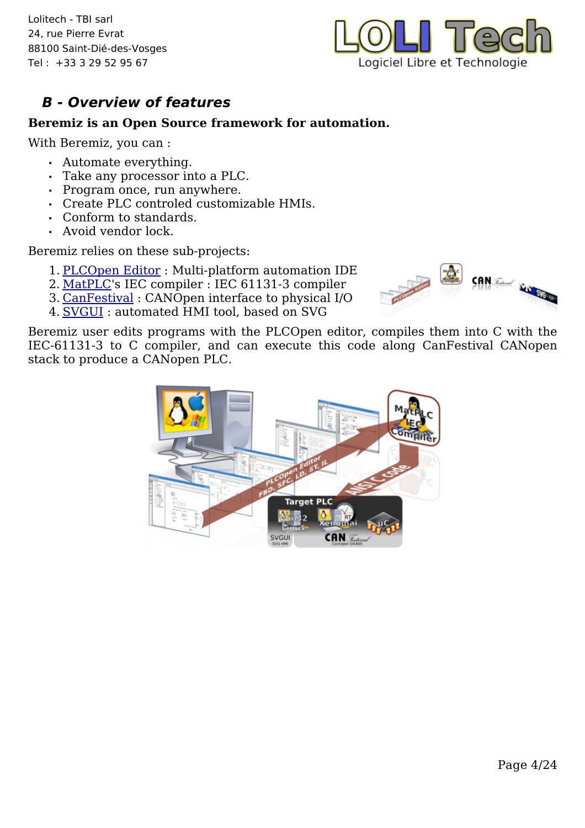

### **B - Overview of features**

#### **Beremiz is an Open Source framework for automation.**

With Beremiz, you can :

- Automate everything.
- Take any processor into a PLC.
- Program once, run anywhere.
- Create PLC controled customizable HMIs.
- Conform to standards.
- Avoid vendor lock.

Beremiz relies on these sub-projects:

- 1. [PLCOpen Editor](http://www.beremiz.org/The%20PLCOpen%20Editor.html) : Multi-platform automation IDE
- 2. [MatPLC](http://mat.sourceforge.net/)'s IEC compiler : IEC 61131-3 compiler
- 3. [CanFestival](http://www.canfestival.org/) : CANOpen interface to physical I/O
- 4. [SVGUI](http://wxsvg.sourceforge.net/) : automated HMI tool, based on SVG



Beremiz user edits programs with the PLCOpen editor, compiles them into C with the IEC-61131-3 to C compiler, and can execute this code along CanFestival CANopen stack to produce a CANopen PLC.

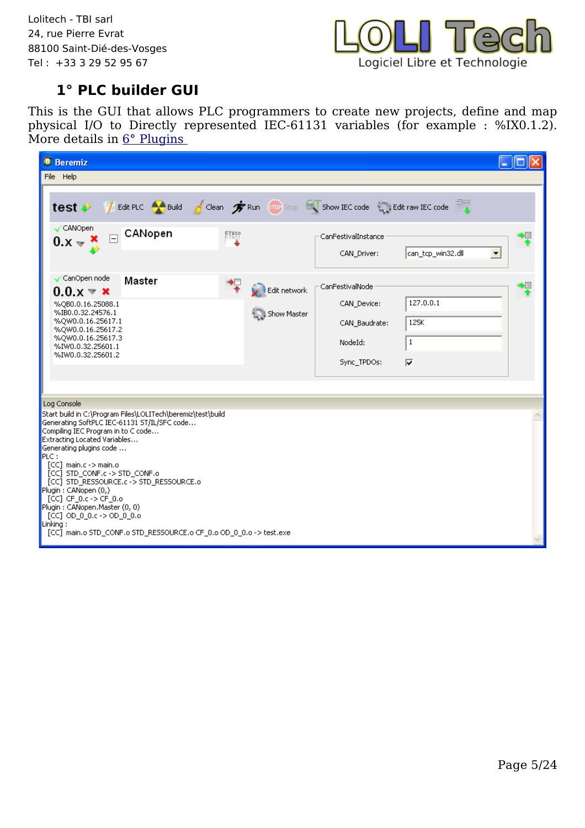

### **1° PLC builder GUI**

This is the GUI that allows PLC programmers to create new projects, define and map physical I/O to Directly represented IEC-61131 variables (for example : %IX0.1.2). More details in <u>6° Plugins</u>

| <b>B</b> Beremiz                                                                                                                                                                                                                                                                                                                                                                                                                                                                                                                                        |                                                                                                                          |                                                   |
|---------------------------------------------------------------------------------------------------------------------------------------------------------------------------------------------------------------------------------------------------------------------------------------------------------------------------------------------------------------------------------------------------------------------------------------------------------------------------------------------------------------------------------------------------------|--------------------------------------------------------------------------------------------------------------------------|---------------------------------------------------|
| File Help                                                                                                                                                                                                                                                                                                                                                                                                                                                                                                                                               |                                                                                                                          |                                                   |
| CANOpen<br>CANopen<br>$\Box$                                                                                                                                                                                                                                                                                                                                                                                                                                                                                                                            | test # 7 Edit PLC A Build 6 Clean # Run Stop Co Show IEC code a Edit raw IEC code<br><b>EIX00</b><br>CanFestivalInstance |                                                   |
| $0.x - x$                                                                                                                                                                                                                                                                                                                                                                                                                                                                                                                                               | CAN Driver:                                                                                                              | can_tcp_win32.dll<br>$\blacktriangledown$         |
| CanOpen node<br>Master<br>$0.0 \times \mathbf{X}$<br>%QB0.0.16.25088.1<br>%IB0.0.32.24576.1<br>%QW0.0.16.25617.1<br>%QW0.0.16.25617.2<br>%QW0.0.16.25617.3<br>%IW0.0.32.25601.1<br>%IW0.0.32.25601.2                                                                                                                                                                                                                                                                                                                                                    | 悍<br>CanFestivalNode<br>Edit network<br>CAN_Device:<br>Show Master<br>CAN Baudrate:<br>NodeId:<br>Sync TPDOs:            | 127.0.0.1<br>125K<br>1<br>$\overline{\mathbf{v}}$ |
| Log Console<br>Start build in C:\Program Files\LOLITech\beremiz\test\build<br>Generating SoftPLC IEC-61131 ST/IL/SFC code<br>Compiling IEC Program in to C code<br>Extracting Located Variables<br>Generating plugins code<br>PLC:<br>$[CC]$ main.c -> main.o<br>[CC] STD_CONF.c -> STD_CONF.o<br>[CC] STD_RESSOURCE.c -> STD_RESSOURCE.o<br>Plugin: CANopen (0,)<br>[CC] CF $0,c \rightarrow$ CF $0,o$<br>Plugin: CANopen.Master (0, 0)<br>[CC] OD_0_0.c -> OD_0_0.o<br>Linking:<br>[CC] main.o STD_CONF.o STD_RESSOURCE.o CF_0.o OD_0_0.o -> test.exe |                                                                                                                          |                                                   |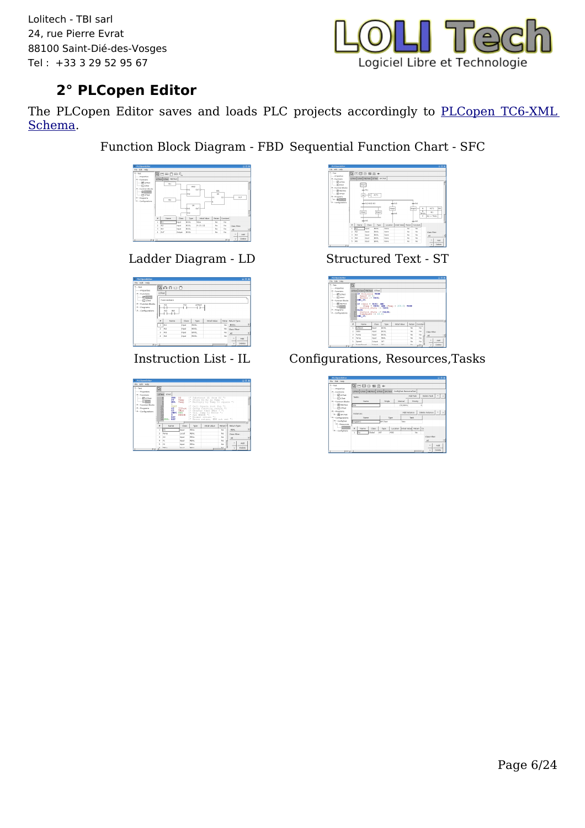

### **2° PLCopen Editor**

The PLCopen Editor saves and loads PLC projects accordingly to [PLCopen TC6-XML](http://www.plcopen.org/pages/tc6_xml/) [Schema.](http://www.plcopen.org/pages/tc6_xml/)

Function Block Diagram - FBD Sequential Function Chart - SFC



Ladder Diagram - LD Structured Text - ST

| File Edit Help        |          |                          |              |        |               |     |                    |     |   |
|-----------------------|----------|--------------------------|--------------|--------|---------------|-----|--------------------|-----|---|
| $v_{\text{model}}$    |          | 有口作商区                    |              |        |               |     |                    |     |   |
| <b>Froperties</b>     |          |                          |              |        |               |     |                    |     |   |
| * Functions           | LOTest   |                          |              |        |               |     |                    |     |   |
| <b>Filterest</b>      |          | Commercaine              |              |        |               |     |                    |     |   |
| (C) Lifest            |          |                          |              |        |               |     |                    |     |   |
| - Function Blocks     |          | IN2                      | PQ.          | LDTest |               |     |                    |     |   |
| + Frograms            |          | ×                        |              | €⊢     |               |     |                    |     |   |
|                       |          |                          |              |        |               |     |                    |     |   |
| <b>Configurations</b> |          | <b>PAL</b><br><b>INT</b> |              |        |               |     |                    |     |   |
|                       |          | - 17 F                   |              |        |               |     |                    |     |   |
|                       | $\theta$ | Name                     | <b>Class</b> | Type   | Initial Volum |     | Retai Return Type: |     |   |
|                       | ı        | <b>INT</b>               | Input.       | BOOL   |               |     | No BOOL            |     |   |
|                       | ×        | 1N2                      | Input.       | BOOL.  |               | No. |                    |     |   |
|                       | ×.       | <b>INT</b>               | Input.       | BOOL.  |               | No  | class riters       |     | ÷ |
|                       | z.       | 1004                     | Input.       | BOOL.  |               | Me. | A1                 |     |   |
|                       |          |                          |              |        |               |     | $\Delta$           | Add |   |

| File Ddt Help                                                     |                         |                              |                           |                 |                                                                                                  |       |                     |   |
|-------------------------------------------------------------------|-------------------------|------------------------------|---------------------------|-----------------|--------------------------------------------------------------------------------------------------|-------|---------------------|---|
| <b>Mark</b><br><b>Properties</b>                                  | $\overline{\mathbb{Z}}$ |                              |                           |                 |                                                                                                  |       |                     |   |
| M. Curvillion                                                     |                         | LOSHE Librar                 |                           |                 |                                                                                                  |       |                     |   |
| <b>IR LOTAX</b><br>$-0.0002$                                      |                         | SUR<br>ST.<br>MUL.           | $x_2$<br>Tenb             |                 | (* Substract X1 from X2 *)<br>Texp (* Store XI-X2 in Texp *)<br>(" Multiply by Temp to square ") |       |                     |   |
| <b>Automation Blocks</b><br><b>A</b> Programs<br>+ Configurations |                         | 3901014<br>SORT<br>87        |                           |                 | (* Call Square root fun ")<br>Illest (* Setup function result *)<br>(* Greater than THax ? ")    |       |                     |   |
|                                                                   |                         | őτ<br>s.<br>ĩś<br><b>DET</b> | TMox<br>JMPC ERR<br>ERROR | (* Set EREOR *) | (* Yes, Jusp to Error *)<br>(* Normal vatore, *)                                                 |       |                     |   |
|                                                                   |                         | 16 E13: RET                  |                           |                 | (* Srror return, ESO not set *)                                                                  |       |                     | × |
|                                                                   | $\bullet$               | Name                         | riass                     | Type            | svirial value                                                                                    | near- | <b>Beturn Type:</b> |   |
|                                                                   | x                       | kх                           | Indice                    | 85.00           |                                                                                                  | Mo    | FSAL                |   |
|                                                                   | $\overline{a}$          | Terma                        | Local                     | <b>REAL</b>     |                                                                                                  | No    | Class Cihar:        |   |
|                                                                   | n.                      | $\times 2$                   | <b>Inget</b>              | <b>BEAL</b>     |                                                                                                  | hão.  | all.                |   |
|                                                                   | ×.                      | N1                           | Input                     | <b>RPAC</b>     |                                                                                                  | No    | 444<br>×.           |   |



| <b>X PLCONNECTION</b>                                                                                                                                                        |                         |                                                                                                                             |                                           |               |                                       |        |               |              | $= 7x$     |  |
|------------------------------------------------------------------------------------------------------------------------------------------------------------------------------|-------------------------|-----------------------------------------------------------------------------------------------------------------------------|-------------------------------------------|---------------|---------------------------------------|--------|---------------|--------------|------------|--|
| File Edit Help<br>W. Vart<br><b>Properties</b><br>M. Functions<br><b>IPILDTest</b><br>Elster<br>* Function Meets<br><b>Silicones</b><br><b>Elimon</b><br><b>A</b> - moorages | $\overline{\mathbb{R}}$ | LOTHE ATHE FROTHE STTHE<br><b>TE Collision THEN</b><br>Speed : 0:<br>END IF:<br><b>ETF (Oats = TRIN) AND</b><br><b>FAKE</b> | Reakas in TRUE:<br>Control State in TRUE; |               | (Punp - TRUE) AND (Tenp > 200.0) THEN |        |               |              |            |  |
| + Configurations                                                                                                                                                             |                         | 10 Control State := FALSE:<br>11 РингФрееd := 10.0;<br>12 120 IF:                                                           |                                           |               |                                       |        |               |              |            |  |
|                                                                                                                                                                              | ٠                       | Name                                                                                                                        |                                           |               |                                       | Patain |               |              |            |  |
|                                                                                                                                                                              | ä                       | Calision                                                                                                                    | Class<br><b>Mark</b>                      | 7/14<br>POOL. | Initial Value                         | Alm    | Constal<br>No |              |            |  |
|                                                                                                                                                                              | ٠.                      | Cote                                                                                                                        | <b>MALA</b>                               | POOL.         |                                       | Mn     | No            | class riters |            |  |
|                                                                                                                                                                              | ×.                      | Purre.                                                                                                                      | hey,                                      | <b>BOOL</b>   |                                       | Mn     | No            | $\mathbf{a}$ |            |  |
|                                                                                                                                                                              | ٠                       | Terro                                                                                                                       | <b>MAGE</b>                               | 22.64         |                                       | Mn     | No            |              |            |  |
|                                                                                                                                                                              | ×.                      | <b>Shand</b>                                                                                                                | Output                                    | <b>AT</b>     |                                       | Mn     | No            | ٠            | <b>Add</b> |  |

Instruction List - IL Configurations, Resources,Tasks

| PLCOpenEditor                                   |                                                                       |                   |                          | 目向米                           |
|-------------------------------------------------|-----------------------------------------------------------------------|-------------------|--------------------------|-------------------------------|
| rão pát redo                                    |                                                                       |                   |                          |                               |
| $-100$<br><b>Properties</b>                     | ■国由智需+                                                                |                   |                          |                               |
| <b>M</b> Functions                              | LDTest   LTest   PBDTest   STTest   SPCTest   ConfigTest-ResourceTest |                   |                          |                               |
| <b>PitDTest</b><br>$\Box$ ures                  | Tasker.                                                               |                   | AA4 Took                 | Delate Task 4<br>$\mathbf{v}$ |
| - Function Mocks                                | Name                                                                  | Single            | Priority<br>internal     |                               |
| <b>BRIFEOTHIS</b><br><b>STISTTest</b>           | Toto                                                                  |                   | 1h100mm<br>ó             |                               |
| * Tregrams<br>+ Miscres                         | Instances:                                                            |                   | Add to share a           | Delete Instance   ^           |
| - Configurations                                | Name                                                                  | <b>Type</b>       | Took                     |                               |
| M ConfigTest                                    | Program1                                                              | SFCTest           | <b>Yata</b>              |                               |
| - nescures<br><b>Postsured</b><br>- ConfigTest2 | ٠<br>Class<br><b>Narrio</b>                                           | Type<br>Location. | Initial Value Retain Co. |                               |
|                                                 | Olobial<br>t.<br>Fo                                                   | INT<br>MVO        | No                       |                               |
|                                                 |                                                                       |                   |                          | Class Citier:                 |
|                                                 |                                                                       |                   |                          | $\lambda$                     |
|                                                 |                                                                       |                   |                          | Add<br>$\sim$                 |
| $-111$                                          |                                                                       |                   | n                        | Delate<br>$\mathbf{v}$        |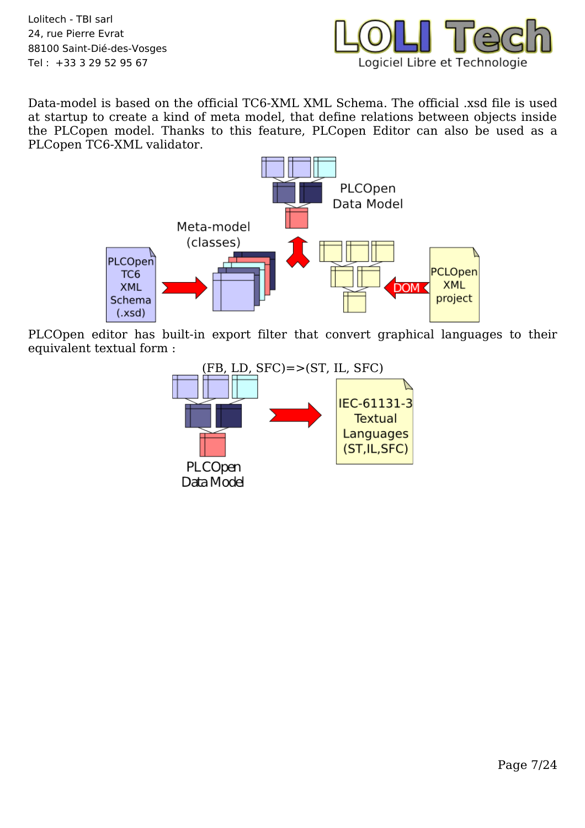

Data-model is based on the official TC6-XML XML Schema. The official .xsd file is used at startup to create a kind of meta model, that define relations between objects inside the PLCopen model. Thanks to this feature, PLCopen Editor can also be used as a PLCopen TC6-XML validator.



PLCOpen editor has built-in export filter that convert graphical languages to their equivalent textual form :

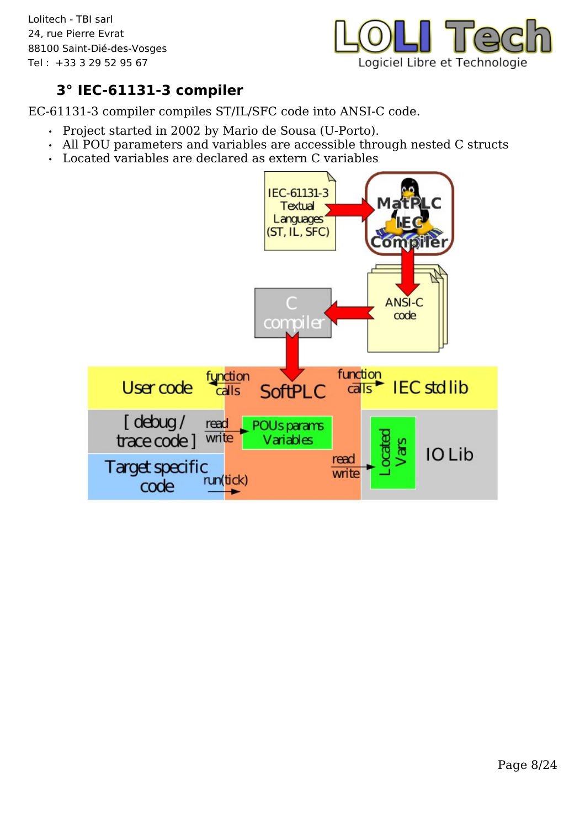

### **3° IEC-61131-3 compiler**

EC-61131-3 compiler compiles ST/IL/SFC code into ANSI-C code.

- Project started in 2002 by Mario de Sousa (U-Porto).
- All POU parameters and variables are accessible through nested C structs
- Located variables are declared as extern C variables

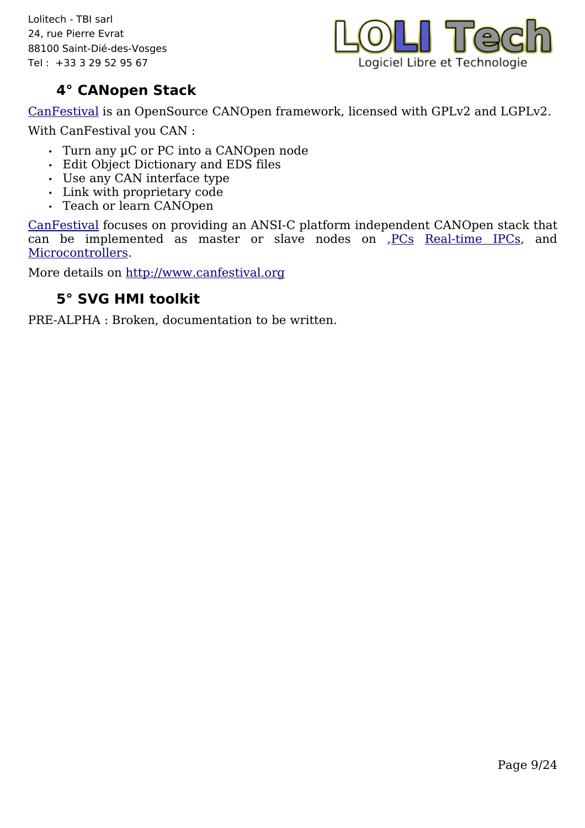

### **4° CANopen Stack**

[CanFestival](http://www.canfestival.org/) is an OpenSource CANOpen framework, licensed with GPLv2 and LGPLv2. With CanFestival you CAN :

- Turn any µC or PC into a CANOpen node
- Edit Object Dictionary and EDS files
- Use any CAN interface type
- Link with proprietary code
- Teach or learn CANOpen

[CanFestival](http://www.canfestival.org/) focuses on providing an ANSI-C platform independent CANOpen stack that can be implemented as master or slave nodes on [,PCs](http://www.canfestival.org/Workstation.html) [Real-time IPCs,](http://www.canfestival.org/Real-Time%20OS.html) and [Microcontrollers.](http://www.canfestival.org/Micro%20Controller%20Targets.html)

More details on [http://www.canfestival.org](http://www.canfestival.org/)

### **5° SVG HMI toolkit**

PRE-ALPHA : Broken, documentation to be written.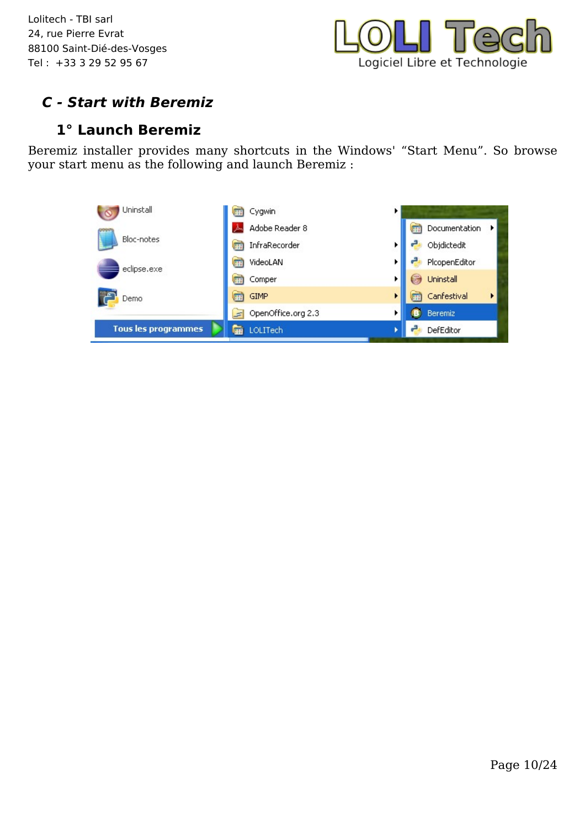

### **C - Start with Beremiz**

#### **1° Launch Beremiz**

Beremiz installer provides many shortcuts in the Windows' "Start Menu". So browse your start menu as the following and launch Beremiz :

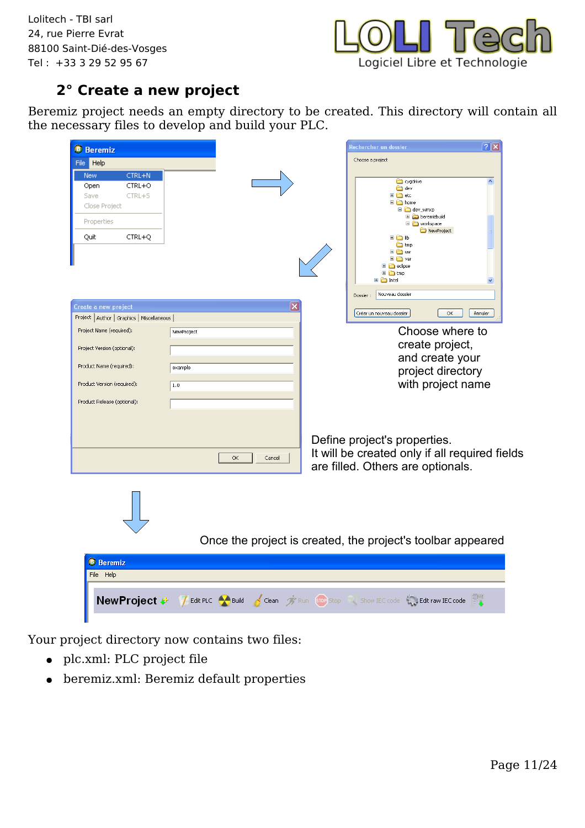

### **2° Create a new project**

Beremiz project needs an empty directory to be created. This directory will contain all the necessary files to develop and build your PLC.

| <b>B</b> Beremiz                               | $ ?  \times$<br>Rechercher un dossier                                      |
|------------------------------------------------|----------------------------------------------------------------------------|
| File Help                                      | Choose a project                                                           |
| <b>New</b><br>CTRL+N                           |                                                                            |
| Open<br>CTRL+O                                 | cygdrive<br>$\blacktriangle$<br>dev                                        |
| Save<br>CTRL+S                                 | ⊞ <b>in</b> etc                                                            |
| Close Project                                  | □ a home<br>$\Box$ dev_winxp                                               |
| Properties                                     | E beremizbuild<br>□ workspace                                              |
| CTRL+Q<br>Quit                                 | NewProject<br>⊞àlib                                                        |
|                                                | <b>in</b> tmp                                                              |
|                                                | <b>E</b> asr<br>⊞ mmarvar                                                  |
|                                                | $\Box$ eclipse                                                             |
|                                                | ⊞ in tmp<br><b>⊞</b> □ Intel                                               |
|                                                | Nouveau dossier<br>Dossier:                                                |
| Create a new project                           | $\times$                                                                   |
| Project   Author   Graphics   Miscellaneous    | Créer un nouveau dossier<br><b>OK</b><br>Annuler                           |
| Project Name (required):<br>NewProject         | Choose where to                                                            |
| Project Version (optional):                    | create project,                                                            |
|                                                | and create your                                                            |
| Product Name (required):<br>example            | project directory                                                          |
| Product Version (required):<br> 1.0            | with project name                                                          |
|                                                |                                                                            |
| Product Release (optional):                    |                                                                            |
|                                                |                                                                            |
|                                                |                                                                            |
|                                                | Define project's properties.                                               |
| OK                                             | It will be created only if all required fields<br>Cancel                   |
|                                                | are filled. Others are optionals.                                          |
|                                                |                                                                            |
|                                                |                                                                            |
|                                                |                                                                            |
|                                                |                                                                            |
|                                                |                                                                            |
|                                                | Once the project is created, the project's toolbar appeared                |
|                                                |                                                                            |
| <b>B</b> Beremiz                               |                                                                            |
| File Help                                      |                                                                            |
|                                                |                                                                            |
| New Project <b>*</b> 7 Edit PLC <b>*</b> Build | Clean <sup>2</sup> Run stop Stop Show IEC code <b>1. Edit raw IEC code</b> |
|                                                |                                                                            |

Your project directory now contains two files:

- plc.xml: PLC project file
- $\bullet~$  beremiz.xml: Beremiz default properties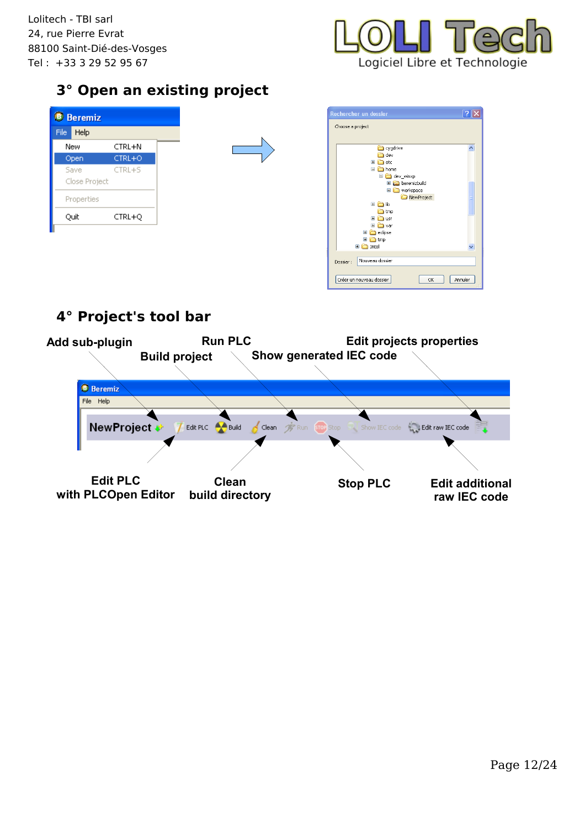

### **3° Open an existing project**

|      | <b>B</b> Beremiz |            |  |
|------|------------------|------------|--|
| File | Help             |            |  |
|      | New              | CTRL+N     |  |
|      | Open             | CTRL+O     |  |
|      | Save             | $CTRL + S$ |  |
|      | Close Project    |            |  |
|      | Properties       |            |  |
|      | Quit             | CTRL+Q     |  |
|      |                  |            |  |
|      |                  |            |  |



### **4° Project's tool bar**

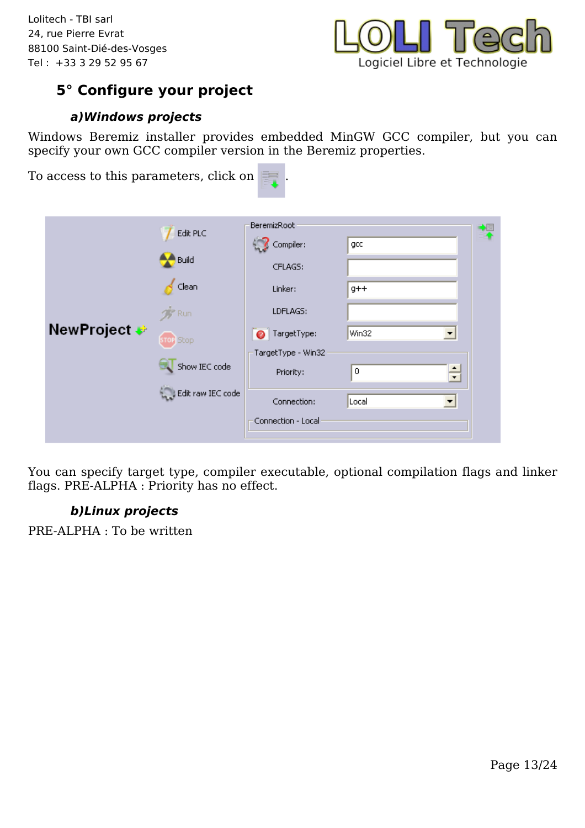

### **5° Configure your project**

#### **a)Windows projects**

Windows Beremiz installer provides embedded MinGW GCC compiler, but you can specify your own GCC compiler version in the Beremiz properties.

| <b>BeremizRoot</b><br>Edit PLC<br>Compiler:<br>gcc<br>Build<br>CFLAGS:                                                                                                                                                                                              | To access to this parameters, click on | 睛 |  |
|---------------------------------------------------------------------------------------------------------------------------------------------------------------------------------------------------------------------------------------------------------------------|----------------------------------------|---|--|
| Clean<br>Linker:<br>$g++$<br>LDFLAGS:<br><b>Run</b><br><b>NewProject </b><br>TargetType:<br>Win32<br>$\bullet$<br><b>Stop</b><br>TargetType - Win32<br>Show IEC code<br>$\div$<br>0<br>Priority:<br>Edit raw IEC code<br>Connection:<br>Local<br>Connection - Local |                                        |   |  |

You can specify target type, compiler executable, optional compilation flags and linker flags. PRE-ALPHA : Priority has no effect.

#### **b)Linux projects**

PRE-ALPHA : To be written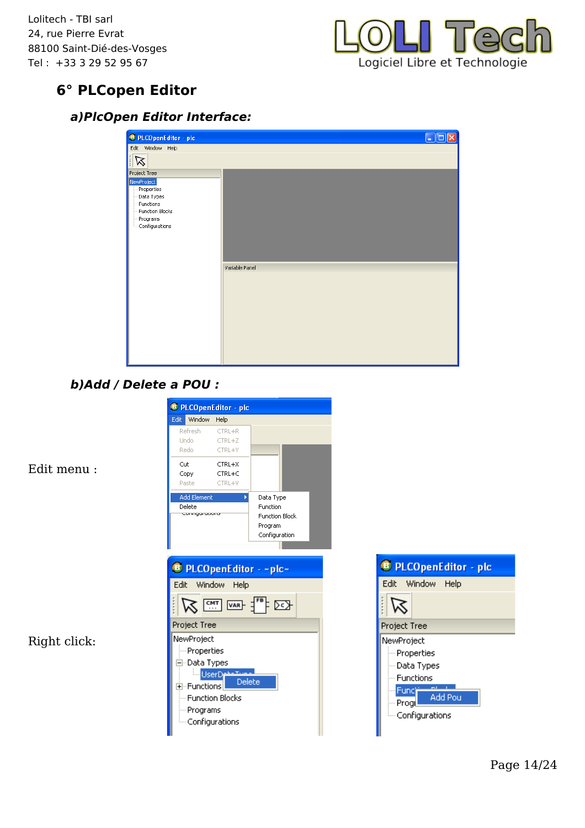

### **6° PLCopen Editor**

#### **a)PlcOpen Editor Interface:**

| <b>B</b> PLCOpenEditor - plc |                |  |
|------------------------------|----------------|--|
| Edit Window Help             |                |  |
| ------<br>$\triangledown$    |                |  |
| Project Tree                 |                |  |
| NewProject                   |                |  |
| Properties                   |                |  |
| Data Types<br>Functions      |                |  |
| Function Blocks              |                |  |
| Programs                     |                |  |
| Configurations               |                |  |
|                              |                |  |
|                              |                |  |
|                              |                |  |
|                              |                |  |
|                              | Variable Panel |  |
|                              |                |  |
|                              |                |  |
|                              |                |  |
|                              |                |  |
|                              |                |  |
|                              |                |  |
|                              |                |  |
|                              |                |  |
|                              |                |  |
|                              |                |  |

#### **b)Add / Delete a POU :**



Edit menu :

Right click: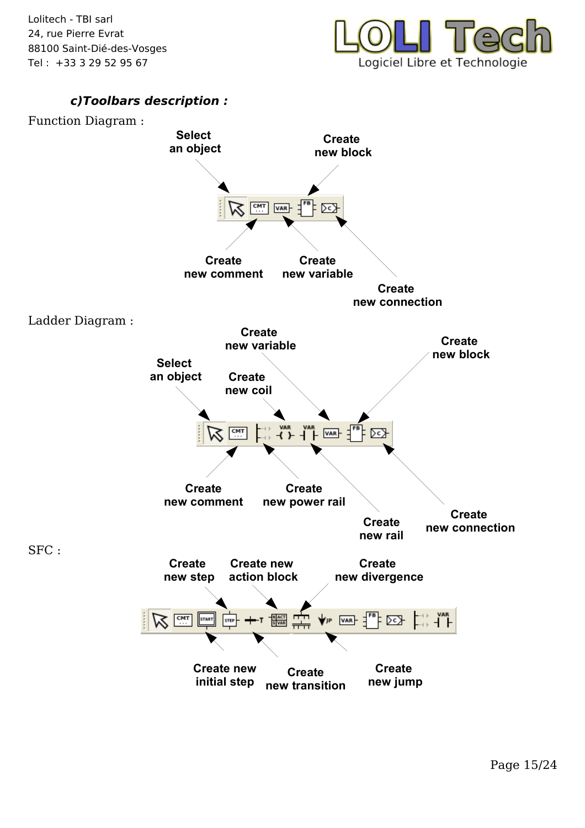

#### **c)Toolbars description :**

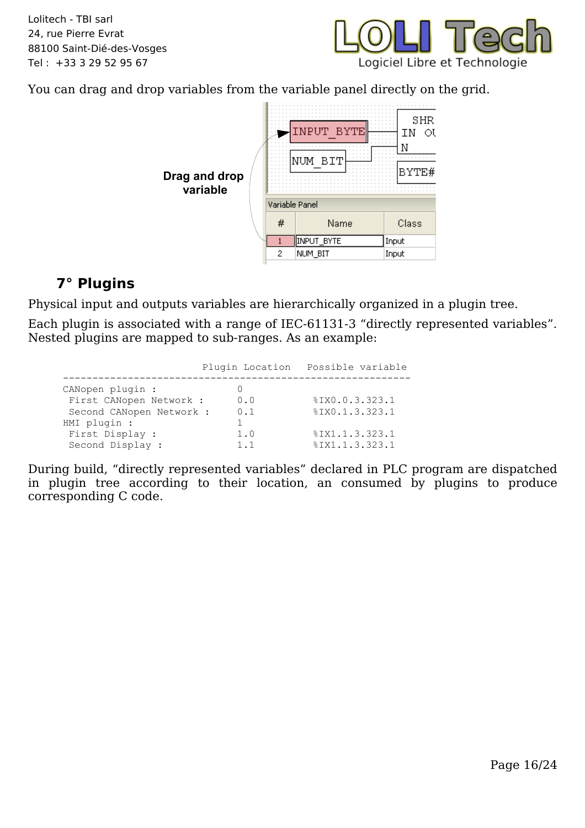

You can drag and drop variables from the variable panel directly on the grid.



### <span id="page-15-0"></span>**7° Plugins**

Physical input and outputs variables are hierarchically organized in a plugin tree.

Each plugin is associated with a range of IEC-61131-3 "directly represented variables". Nested plugins are mapped to sub-ranges. As an example:

|                          | Plugin Location | Possible variable |
|--------------------------|-----------------|-------------------|
|                          |                 |                   |
| CANopen plugin :         |                 |                   |
| First CANopen Network :  | 0.0             | %IX0.0.3.323.1    |
| Second CANopen Network : | 0.1             | %IX0.1.3.323.1    |
| HMI plugin :             |                 |                   |
| First Display :          | 1.0             | %IX1.1.3.323.1    |
| Second Display :         | 1 1             | %IX1.1.3.323.1    |

During build, "directly represented variables" declared in PLC program are dispatched in plugin tree according to their location, an consumed by plugins to produce corresponding C code.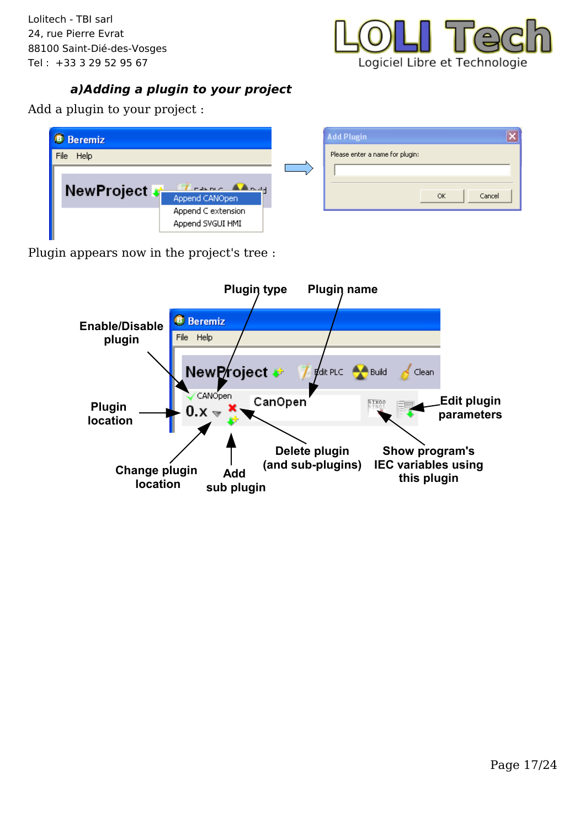

#### **a)Adding a plugin to your project**

Add a plugin to your project :

| <b>B</b> Beremiz                       | <b>Add Plugin</b>               |  |
|----------------------------------------|---------------------------------|--|
| <b>Help</b><br>File                    | Please enter a name for plugin: |  |
| NewProject of Append CANOpen           | Cancel<br>OK                    |  |
| Append C extension<br>Append SVGUI HMI |                                 |  |

Plugin appears now in the project's tree :

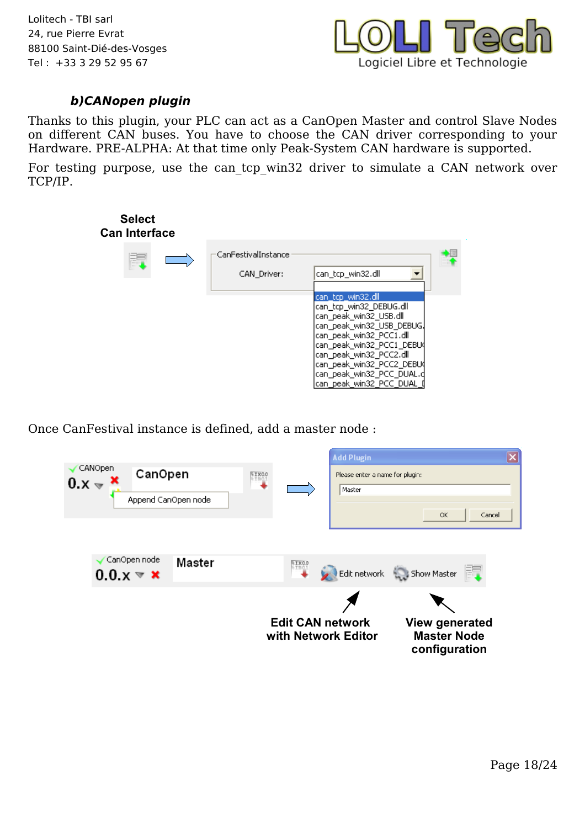

#### **b)CANopen plugin**

Thanks to this plugin, your PLC can act as a CanOpen Master and control Slave Nodes on different CAN buses. You have to choose the CAN driver corresponding to your Hardware. PRE-ALPHA: At that time only Peak-System CAN hardware is supported.

For testing purpose, use the can tcp win32 driver to simulate a CAN network over TCP/IP.



Once CanFestival instance is defined, add a master node :

| CanOpen node<br>Master<br>$0.0 \times \mathbf{x}$ | RIXOO<br>Edit network Show Master<br><b>Edit CAN network</b><br><b>View generated</b> |        |
|---------------------------------------------------|---------------------------------------------------------------------------------------|--------|
| Append CanOpen node                               | Master<br>OK.                                                                         | Cancel |
| CANOpen<br>CanOpen<br>$0 \times \mathbf{X}$       | $\frac{1000}{1000}$<br>Please enter a name for plugin:                                |        |
|                                                   | <b>Add Plugin</b>                                                                     |        |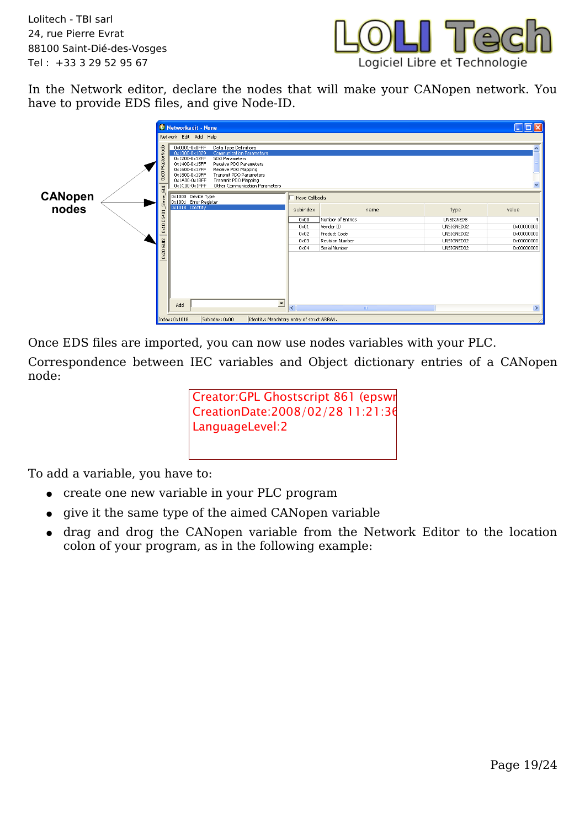

In the Network editor, declare the nodes that will make your CANopen network. You have to provide EDS files, and give Node-ID.



Once EDS files are imported, you can now use nodes variables with your PLC.

Correspondence between IEC variables and Object dictionary entries of a CANopen node:

> Creator:GPL Ghostscript 861 (epswr CreationDate:2008/02/28 11:21:36 LanguageLevel:2

To add a variable, you have to:

- create one new variable in your PLC program
- give it the same type of the aimed CANopen variable
- drag and drog the CANopen variable from the Network Editor to the location colon of your program, as in the following example: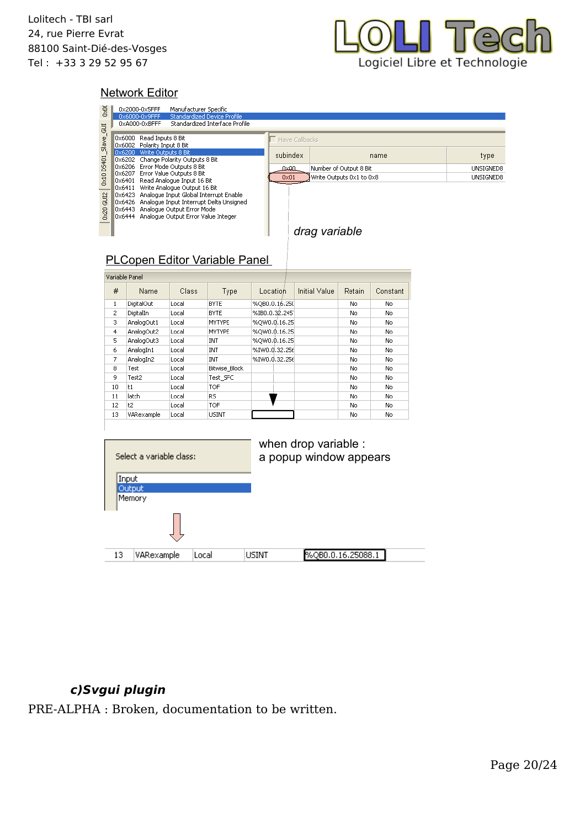

#### Network Editor

| <b>Door</b>                          |                                                                                                       | 0x2000-0x5FFF<br>0x6000-0x9FFF<br>0xA000-0xBFFF                                                                                                                                                                           | Manufacturer Specific | Standardized Device Profile<br>Standardized Interface Profile |               |                                |                                                |        |           |  |           |  |
|--------------------------------------|-------------------------------------------------------------------------------------------------------|---------------------------------------------------------------------------------------------------------------------------------------------------------------------------------------------------------------------------|-----------------------|---------------------------------------------------------------|---------------|--------------------------------|------------------------------------------------|--------|-----------|--|-----------|--|
|                                      |                                                                                                       |                                                                                                                                                                                                                           |                       |                                                               |               |                                |                                                |        |           |  |           |  |
|                                      |                                                                                                       | 0x6000 Read Inputs 8 Bit<br>0x6002 Polarity Input 8 Bit                                                                                                                                                                   |                       |                                                               |               | Have Callbacks                 |                                                |        |           |  |           |  |
| Dx10 DS401_Slave_GUI                 | 0x6200 Write Outputs 8 Bit<br>0x6202 Change Polarity Outputs 8 Bit<br>0x6206 Error Mode Outputs 8 Bit |                                                                                                                                                                                                                           |                       |                                                               |               | subindex<br>name               |                                                |        |           |  | type      |  |
|                                      |                                                                                                       |                                                                                                                                                                                                                           |                       |                                                               |               | Number of Output 8 Bit<br>0x00 |                                                |        |           |  | UNSIGNED8 |  |
|                                      |                                                                                                       | 0x6207 Error Value Outputs 8 Bit<br>0x6401 Read Analogue Input 16 Bit                                                                                                                                                     |                       |                                                               |               | 0x01                           | Write Outputs 0x1 to 0x8                       |        | UNSIGNED8 |  |           |  |
| 0x20 GUI2                            |                                                                                                       | 0x6411 Write Analogue Output 16 Bit<br>0x6423 Analogue Input Global Interrupt Enable<br>0x6426 Analogue Input Interrupt Delta Unsigned<br>0x6443 Analogue Output Error Mode<br>0x6444 Analogue Output Error Value Integer |                       |                                                               |               | drag variable                  |                                                |        |           |  |           |  |
| <b>PLCopen Editor Variable Panel</b> |                                                                                                       |                                                                                                                                                                                                                           |                       |                                                               |               |                                |                                                |        |           |  |           |  |
|                                      |                                                                                                       | Variable Panel                                                                                                                                                                                                            |                       |                                                               |               |                                |                                                |        |           |  |           |  |
|                                      | #                                                                                                     | Name                                                                                                                                                                                                                      | Class                 | Type                                                          | Location      |                                | Initial Value                                  | Retain | Constant  |  |           |  |
|                                      | $\,1\,$                                                                                               | DigitalOut                                                                                                                                                                                                                | Local                 | <b>BYTE</b>                                                   | %QB0.0.16.250 |                                |                                                | No     | No        |  |           |  |
|                                      | $\overline{c}$                                                                                        | DigitalIn                                                                                                                                                                                                                 | Local                 | <b>BYTE</b>                                                   | %IB0.0.32.245 |                                |                                                | No     | No        |  |           |  |
|                                      | 3                                                                                                     | AnalogOut1                                                                                                                                                                                                                | Local                 | <b>MYTYPE</b>                                                 | %QW0.0,16.25  |                                |                                                | No     | No        |  |           |  |
|                                      | 4                                                                                                     | AnalogOut2                                                                                                                                                                                                                | Local                 | <b>MYTYPE</b>                                                 | %QW0.0.16.25  |                                |                                                | No     | No        |  |           |  |
|                                      | 5                                                                                                     | AnalogOut3                                                                                                                                                                                                                | Local                 | INT                                                           | %QW0.\$.16.25 |                                |                                                | No     | No        |  |           |  |
|                                      | 6                                                                                                     | AnalogIn1                                                                                                                                                                                                                 | Local                 | INT                                                           | %IW0.0.32.256 |                                |                                                | No     | No        |  |           |  |
|                                      | 7                                                                                                     | AnalogIn2                                                                                                                                                                                                                 | Local                 | INT                                                           | %IW0.0.32.256 |                                |                                                | No     | No        |  |           |  |
|                                      | 8                                                                                                     | Test                                                                                                                                                                                                                      | Local                 | <b>Bitwise Block</b>                                          |               |                                |                                                | No     | No        |  |           |  |
|                                      | 9                                                                                                     | Test2                                                                                                                                                                                                                     | Local                 | Test_SFC                                                      |               |                                |                                                | No     | No        |  |           |  |
|                                      | 10                                                                                                    | t1                                                                                                                                                                                                                        | Local                 | TOF                                                           |               |                                |                                                | No     | No        |  |           |  |
|                                      | 11                                                                                                    | latch                                                                                                                                                                                                                     | Local                 | RS.                                                           |               |                                |                                                | No     | No        |  |           |  |
|                                      | 12                                                                                                    | t2                                                                                                                                                                                                                        | Local                 | TOF                                                           |               |                                |                                                | No     | No        |  |           |  |
|                                      | 13                                                                                                    | VARexample                                                                                                                                                                                                                | Local                 | <b>USINT</b>                                                  |               |                                |                                                | No     | No        |  |           |  |
|                                      |                                                                                                       | Select a variable class:<br>Input<br>Output<br>Memory                                                                                                                                                                     |                       |                                                               |               |                                | when drop variable :<br>a popup window appears |        |           |  |           |  |
|                                      | 13                                                                                                    | VARexample                                                                                                                                                                                                                | Local                 |                                                               | USINT         |                                | %QB0.0.16.25088.1                              |        |           |  |           |  |

#### **c)Svgui plugin**

PRE-ALPHA : Broken, documentation to be written.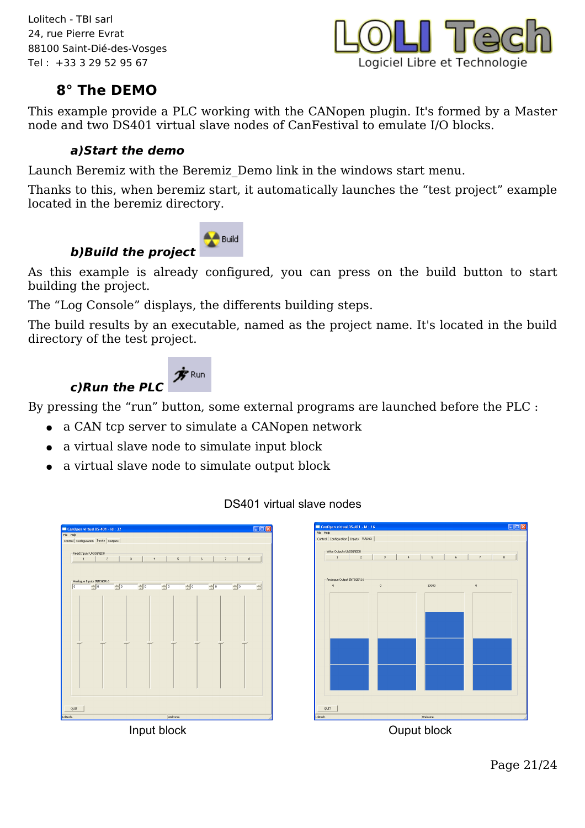

### **8° The DEMO**

This example provide a PLC working with the CANopen plugin. It's formed by a Master node and two DS401 virtual slave nodes of CanFestival to emulate I/O blocks.

#### **a)Start the demo**

Launch Beremiz with the Beremiz\_Demo link in the windows start menu.

Thanks to this, when beremiz start, it automatically launches the "test project" example located in the beremiz directory.



**b)Build the project**  As this example is already configured, you can press on the build button to start building the project.

The "Log Console" displays, the differents building steps.

The build results by an executable, named as the project name. It's located in the build directory of the test project.



By pressing the "run" button, some external programs are launched before the PLC :

- a CAN tcp server to simulate a CANopen network
- a virtual slave node to simulate input block
- a virtual slave node to simulate output block

#### DS401 virtual slave nodes





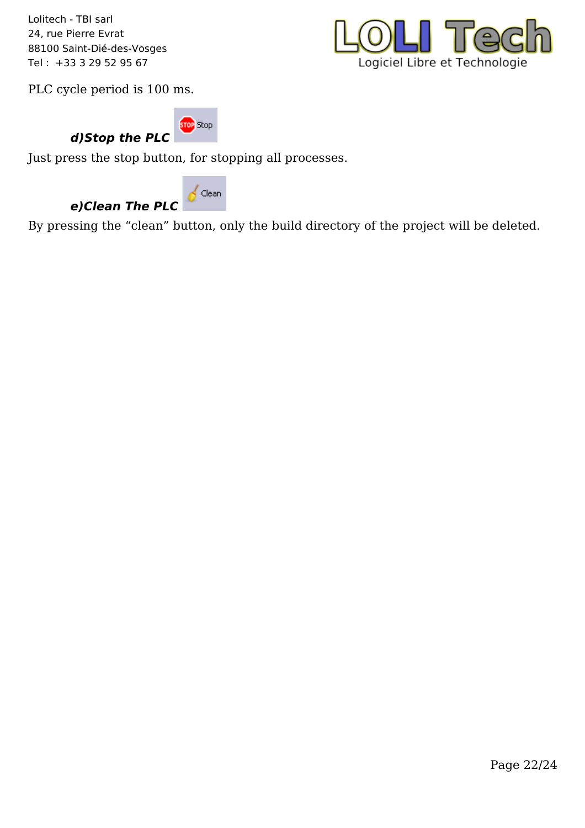

PLC cycle period is 100 ms.

**STOP** Stop **d)Stop the PLC** 

Just press the stop button, for stopping all processes.



By pressing the "clean" button, only the build directory of the project will be deleted.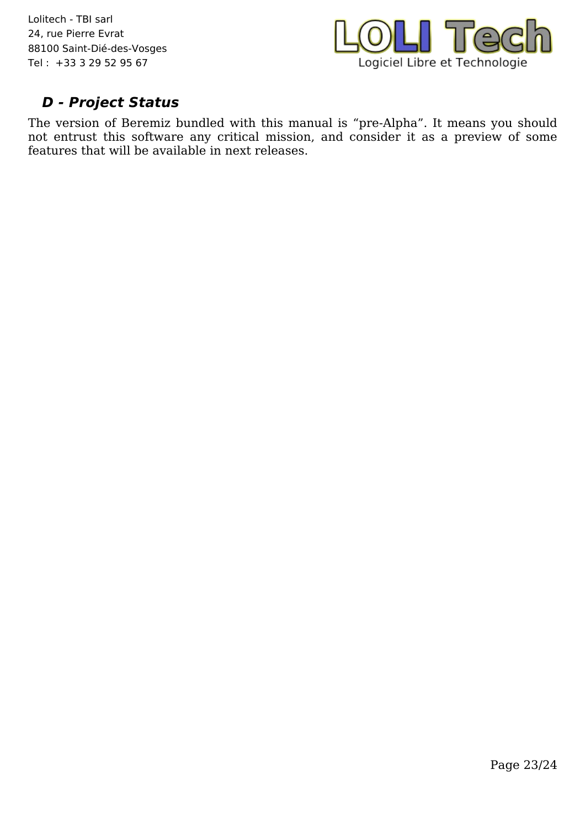

### **D - Project Status**

The version of Beremiz bundled with this manual is "pre-Alpha". It means you should not entrust this software any critical mission, and consider it as a preview of some features that will be available in next releases.